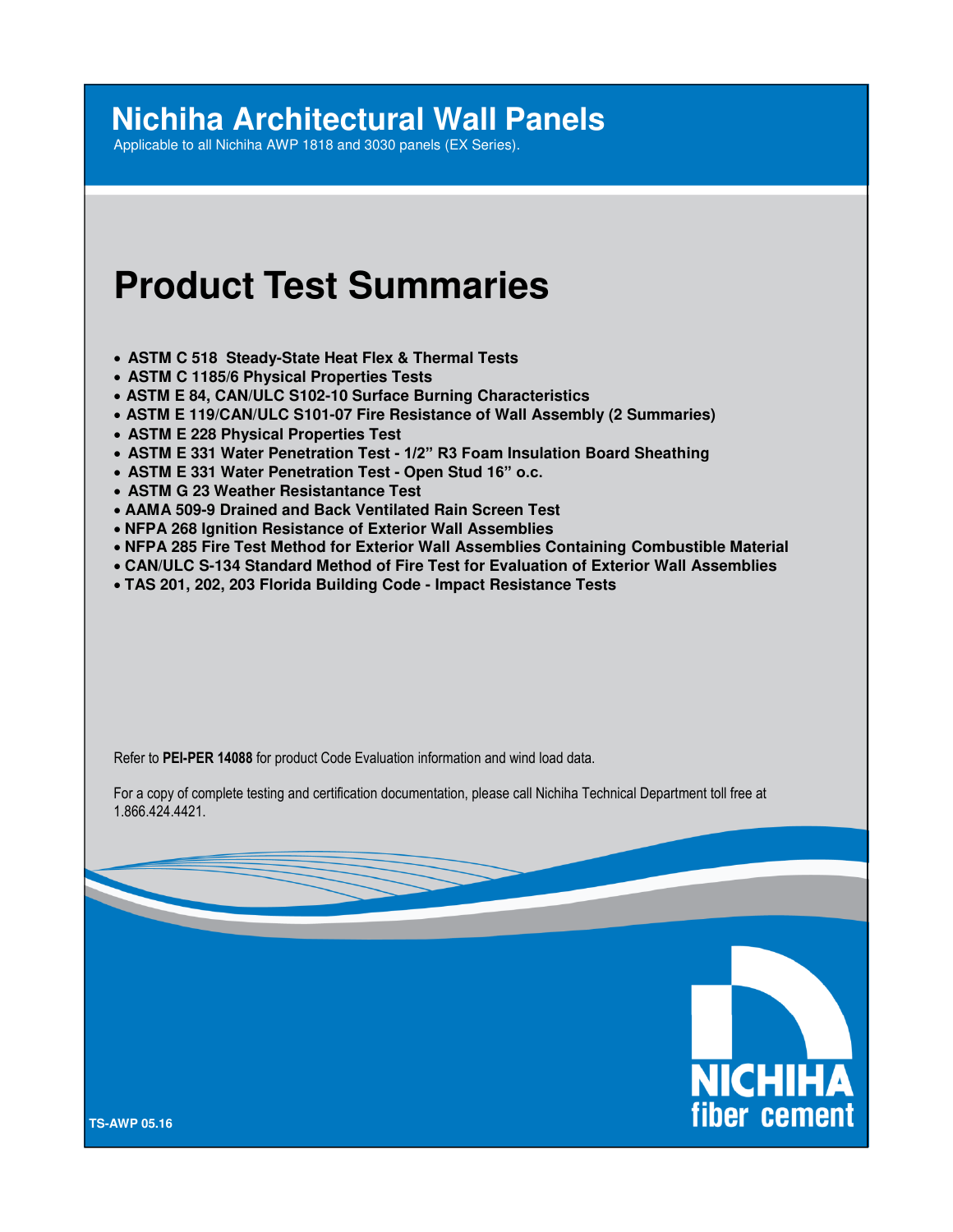# **Nichiha Architectural Wall Panels**

Applicable to all Nichiha AWP 1818 and 3030 panels (EX Series).

# **Product Test Summaries**

- **ASTM C 518 Steady-State Heat Flex & Thermal Tests**
- **ASTM C 1185/6 Physical Properties Tests**
- **ASTM E 84, CAN/ULC S102-10 Surface Burning Characteristics**
- **ASTM E 119/CAN/ULC S101-07 Fire Resistance of Wall Assembly (2 Summaries)**
- **ASTM E 228 Physical Properties Test**
- **ASTM E 331 Water Penetration Test 1/2" R3 Foam Insulation Board Sheathing**
- **ASTM E 331 Water Penetration Test Open Stud 16" o.c.**
- **ASTM G 23 Weather Resistantance Test**
- **AAMA 509-9 Drained and Back Ventilated Rain Screen Test**
- **NFPA 268 Ignition Resistance of Exterior Wall Assemblies**
- **NFPA 285 Fire Test Method for Exterior Wall Assemblies Containing Combustible Material**
- **CAN/ULC S-134 Standard Method of Fire Test for Evaluation of Exterior Wall Assemblies**
- **TAS 201, 202, 203 Florida Building Code Impact Resistance Tests**

Refer to **PEI-PER 14088** for product Code Evaluation information and wind load data.

For a copy of complete testing and certification documentation, please call Nichiha Technical Department toll free at 1.866.424.4421.



**TS-AWP 05.16**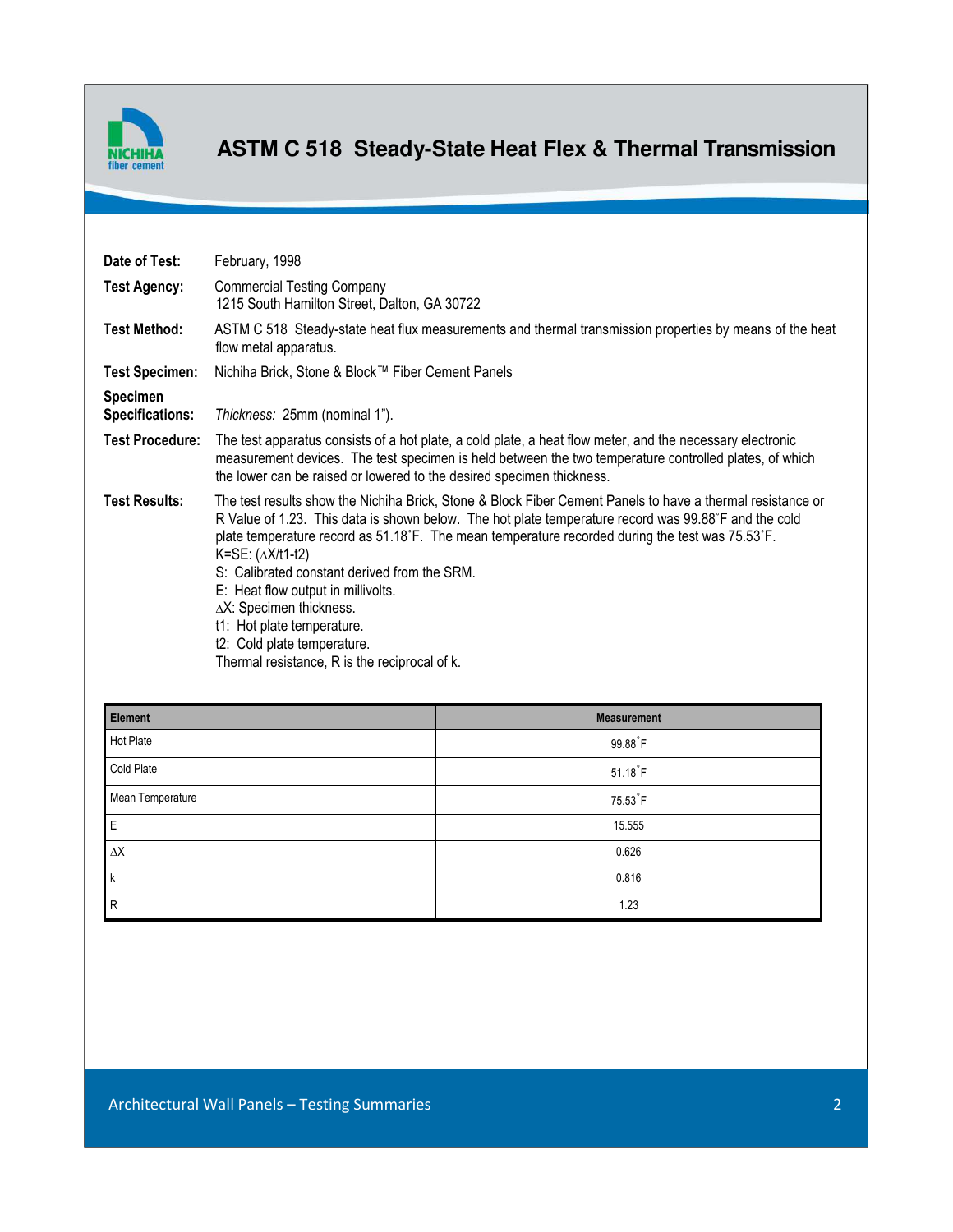

### **ASTM C 518 Steady-State Heat Flex & Thermal Transmission**

| Date of Test:                      | February, 1998                                                                                                                                                                                                                                                                                                                                                                                                                                                                                                                                                                   |                        |
|------------------------------------|----------------------------------------------------------------------------------------------------------------------------------------------------------------------------------------------------------------------------------------------------------------------------------------------------------------------------------------------------------------------------------------------------------------------------------------------------------------------------------------------------------------------------------------------------------------------------------|------------------------|
| <b>Test Agency:</b>                | <b>Commercial Testing Company</b><br>1215 South Hamilton Street, Dalton, GA 30722                                                                                                                                                                                                                                                                                                                                                                                                                                                                                                |                        |
| <b>Test Method:</b>                | ASTM C 518 Steady-state heat flux measurements and thermal transmission properties by means of the heat<br>flow metal apparatus.                                                                                                                                                                                                                                                                                                                                                                                                                                                 |                        |
| <b>Test Specimen:</b>              | Nichiha Brick, Stone & Block™ Fiber Cement Panels                                                                                                                                                                                                                                                                                                                                                                                                                                                                                                                                |                        |
| Specimen<br><b>Specifications:</b> | Thickness: 25mm (nominal 1").                                                                                                                                                                                                                                                                                                                                                                                                                                                                                                                                                    |                        |
| <b>Test Procedure:</b>             | The test apparatus consists of a hot plate, a cold plate, a heat flow meter, and the necessary electronic<br>measurement devices. The test specimen is held between the two temperature controlled plates, of which<br>the lower can be raised or lowered to the desired specimen thickness.                                                                                                                                                                                                                                                                                     |                        |
| <b>Test Results:</b>               | The test results show the Nichiha Brick, Stone & Block Fiber Cement Panels to have a thermal resistance or<br>R Value of 1.23. This data is shown below. The hot plate temperature record was 99.88°F and the cold<br>plate temperature record as 51.18°F. The mean temperature recorded during the test was 75.53°F.<br>K=SE: $(\Delta X/t1-t2)$<br>S: Calibrated constant derived from the SRM.<br>E: Heat flow output in millivolts.<br>AX: Specimen thickness.<br>t1: Hot plate temperature.<br>t2: Cold plate temperature.<br>Thermal resistance, R is the reciprocal of k. |                        |
| <b>Element</b>                     |                                                                                                                                                                                                                                                                                                                                                                                                                                                                                                                                                                                  | <b>Measurement</b>     |
| <b>Hot Plate</b>                   |                                                                                                                                                                                                                                                                                                                                                                                                                                                                                                                                                                                  | 99.88 F                |
| Cold Plate                         |                                                                                                                                                                                                                                                                                                                                                                                                                                                                                                                                                                                  | $51.18$ <sup>°</sup> F |
| Mean Temperature                   |                                                                                                                                                                                                                                                                                                                                                                                                                                                                                                                                                                                  |                        |
|                                    |                                                                                                                                                                                                                                                                                                                                                                                                                                                                                                                                                                                  | 75.53°F                |
| E                                  |                                                                                                                                                                                                                                                                                                                                                                                                                                                                                                                                                                                  | 15.555                 |
| $\Delta\mathsf{X}$                 |                                                                                                                                                                                                                                                                                                                                                                                                                                                                                                                                                                                  | 0.626                  |
| k                                  |                                                                                                                                                                                                                                                                                                                                                                                                                                                                                                                                                                                  | 0.816                  |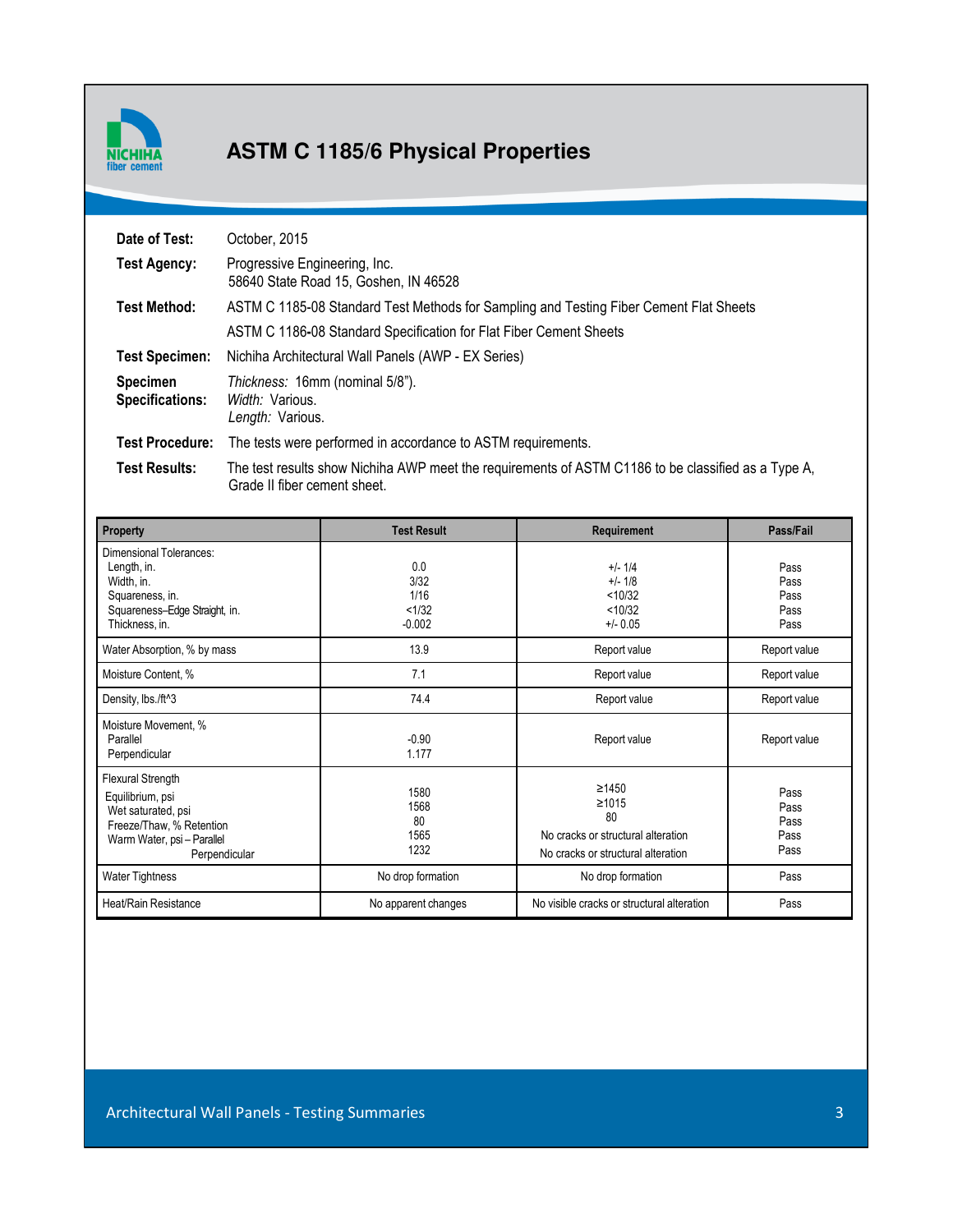

# **ASTM C 1185/6 Physical Properties**

| Date of Test:                      | October, 2015                                                                                                                       |
|------------------------------------|-------------------------------------------------------------------------------------------------------------------------------------|
| <b>Test Agency:</b>                | Progressive Engineering, Inc.<br>58640 State Road 15, Goshen, IN 46528                                                              |
| <b>Test Method:</b>                | ASTM C 1185-08 Standard Test Methods for Sampling and Testing Fiber Cement Flat Sheets                                              |
|                                    | ASTM C 1186-08 Standard Specification for Flat Fiber Cement Sheets                                                                  |
| <b>Test Specimen:</b>              | Nichiha Architectural Wall Panels (AWP - EX Series)                                                                                 |
| <b>Specimen</b><br>Specifications: | Thickness: 16mm (nominal 5/8").<br>Width: Various.<br>Length: Various.                                                              |
| <b>Test Procedure:</b>             | The tests were performed in accordance to ASTM requirements.                                                                        |
| <b>Test Results:</b>               | The test results show Nichiha AWP meet the requirements of ASTM C1186 to be classified as a Type A,<br>Grade II fiber cement sheet. |

| Property                                                                                                                                                       | <b>Test Result</b>                                      | Requirement                                                                                                           | Pass/Fail                                    |
|----------------------------------------------------------------------------------------------------------------------------------------------------------------|---------------------------------------------------------|-----------------------------------------------------------------------------------------------------------------------|----------------------------------------------|
| Dimensional Tolerances:<br>Length, in.<br>Width, in.<br>Squareness, in.<br>Squareness-Edge Straight, in.<br>Thickness, in.                                     | 0.0<br>3/32<br>1/16<br>< 1/32<br>$-0.002$               | $+/- 1/4$<br>$+/- 1/8$<br>< 10/32<br>< 10/32<br>$+/- 0.05$                                                            | Pass<br>Pass<br>Pass<br>Pass<br>Pass         |
| Water Absorption, % by mass                                                                                                                                    | 13.9                                                    | Report value                                                                                                          | Report value                                 |
| Moisture Content, %                                                                                                                                            | 7.1                                                     | Report value                                                                                                          | Report value                                 |
| Density, lbs./ft^3                                                                                                                                             | 74.4                                                    | Report value                                                                                                          | Report value                                 |
| Moisture Movement, %<br>Parallel<br>Perpendicular                                                                                                              | $-0.90$<br>1.177                                        | Report value                                                                                                          | Report value                                 |
| Flexural Strength<br>Equilibrium, psi<br>Wet saturated, psi<br>Freeze/Thaw, % Retention<br>Warm Water, psi-Parallel<br>Perpendicular<br><b>Water Tightness</b> | 1580<br>1568<br>80<br>1565<br>1232<br>No drop formation | ≥1450<br>≥1015<br>80<br>No cracks or structural alteration<br>No cracks or structural alteration<br>No drop formation | Pass<br>Pass<br>Pass<br>Pass<br>Pass<br>Pass |
| Heat/Rain Resistance                                                                                                                                           | No apparent changes                                     | No visible cracks or structural alteration                                                                            | Pass                                         |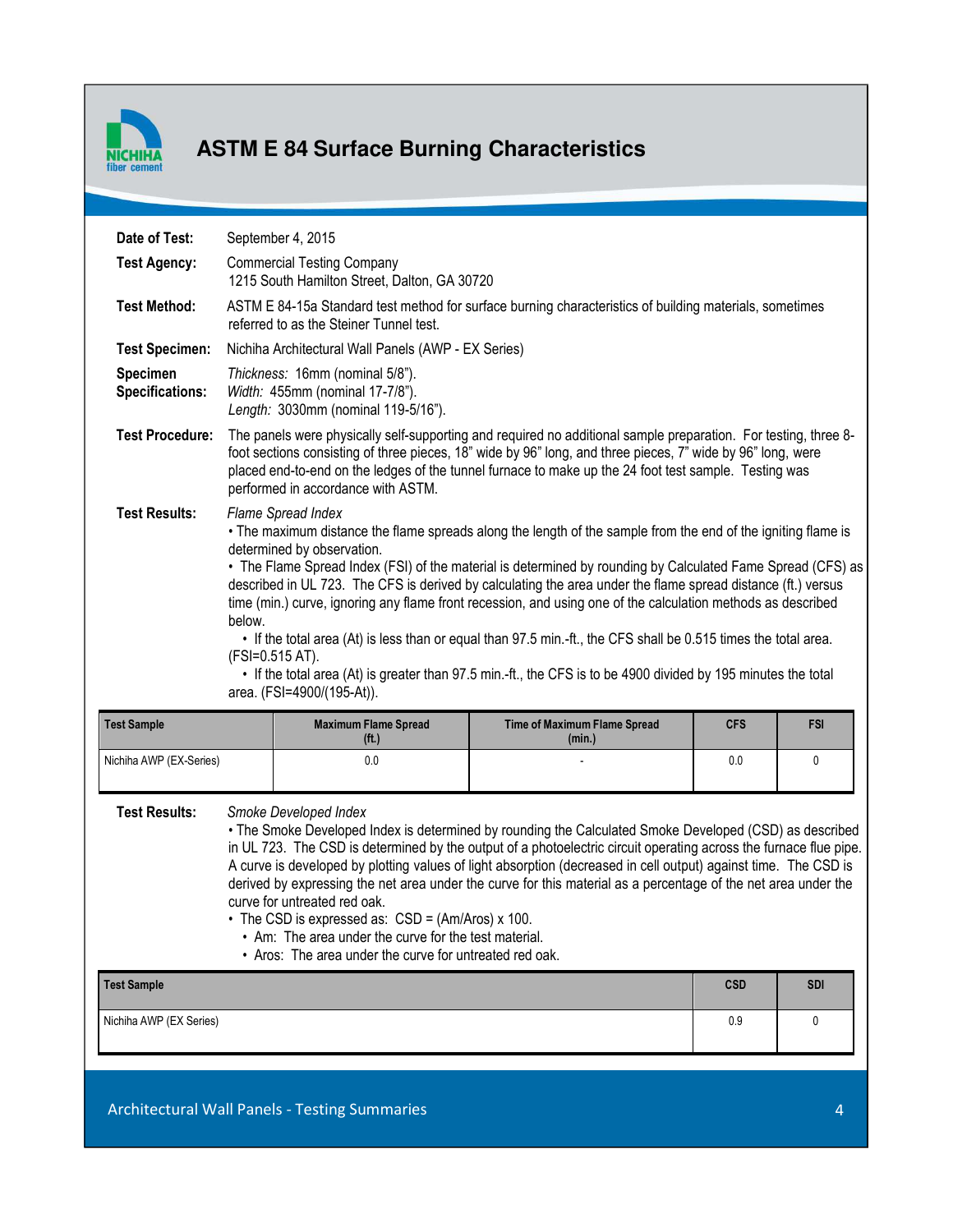

# **ASTM E 84 Surface Burning Characteristics**

| Date of Test:               |                                                                                                                                                                                                                                                                                                                                                                                                                                                                                                                                                                                                                                                                                                                                                                                                                  | September 4, 2015                                                                                         |                                        |            |            |
|-----------------------------|------------------------------------------------------------------------------------------------------------------------------------------------------------------------------------------------------------------------------------------------------------------------------------------------------------------------------------------------------------------------------------------------------------------------------------------------------------------------------------------------------------------------------------------------------------------------------------------------------------------------------------------------------------------------------------------------------------------------------------------------------------------------------------------------------------------|-----------------------------------------------------------------------------------------------------------|----------------------------------------|------------|------------|
| <b>Test Agency:</b>         |                                                                                                                                                                                                                                                                                                                                                                                                                                                                                                                                                                                                                                                                                                                                                                                                                  | <b>Commercial Testing Company</b><br>1215 South Hamilton Street, Dalton, GA 30720                         |                                        |            |            |
| <b>Test Method:</b>         | ASTM E 84-15a Standard test method for surface burning characteristics of building materials, sometimes<br>referred to as the Steiner Tunnel test.                                                                                                                                                                                                                                                                                                                                                                                                                                                                                                                                                                                                                                                               |                                                                                                           |                                        |            |            |
| <b>Test Specimen:</b>       |                                                                                                                                                                                                                                                                                                                                                                                                                                                                                                                                                                                                                                                                                                                                                                                                                  | Nichiha Architectural Wall Panels (AWP - EX Series)                                                       |                                        |            |            |
| Specimen<br>Specifications: |                                                                                                                                                                                                                                                                                                                                                                                                                                                                                                                                                                                                                                                                                                                                                                                                                  | Thickness: 16mm (nominal 5/8").<br>Width: 455mm (nominal 17-7/8").<br>Length: 3030mm (nominal 119-5/16"). |                                        |            |            |
| <b>Test Procedure:</b>      | The panels were physically self-supporting and required no additional sample preparation. For testing, three 8-<br>foot sections consisting of three pieces, 18" wide by 96" long, and three pieces, 7" wide by 96" long, were<br>placed end-to-end on the ledges of the tunnel furnace to make up the 24 foot test sample. Testing was<br>performed in accordance with ASTM.                                                                                                                                                                                                                                                                                                                                                                                                                                    |                                                                                                           |                                        |            |            |
| <b>Test Results:</b>        | Flame Spread Index<br>• The maximum distance the flame spreads along the length of the sample from the end of the igniting flame is<br>determined by observation.<br>• The Flame Spread Index (FSI) of the material is determined by rounding by Calculated Fame Spread (CFS) as<br>described in UL 723. The CFS is derived by calculating the area under the flame spread distance (ft.) versus<br>time (min.) curve, ignoring any flame front recession, and using one of the calculation methods as described<br>below.<br>• If the total area (At) is less than or equal than 97.5 min.-ft., the CFS shall be 0.515 times the total area.<br>(FSI=0.515 AT).<br>• If the total area (At) is greater than 97.5 min.-ft., the CFS is to be 4900 divided by 195 minutes the total<br>area. (FSI=4900/(195-At)). |                                                                                                           |                                        |            |            |
| <b>Test Sample</b>          |                                                                                                                                                                                                                                                                                                                                                                                                                                                                                                                                                                                                                                                                                                                                                                                                                  | <b>Maximum Flame Spread</b><br>(f <sup>t</sup> )                                                          | Time of Maximum Flame Spread<br>(min.) | <b>CFS</b> | <b>FSI</b> |
| Nichiha AWP (EX-Series)     |                                                                                                                                                                                                                                                                                                                                                                                                                                                                                                                                                                                                                                                                                                                                                                                                                  | 0.0                                                                                                       |                                        | 0.0        | 0          |
| <b>Test Results:</b>        | Smoke Developed Index<br>• The Smoke Developed Index is determined by rounding the Calculated Smoke Developed (CSD) as described<br>in UL 723. The CSD is determined by the output of a photoelectric circuit operating across the furnace flue pipe.<br>A curve is developed by plotting values of light absorption (decreased in cell output) against time. The CSD is<br>derived by expressing the net area under the curve for this material as a percentage of the net area under the<br>curve for untreated red oak.<br>• The CSD is expressed as: CSD = (Am/Aros) x 100.<br>• Am: The area under the curve for the test material.<br>• Aros: The area under the curve for untreated red oak.                                                                                                              |                                                                                                           |                                        |            |            |
| <b>Test Sample</b>          |                                                                                                                                                                                                                                                                                                                                                                                                                                                                                                                                                                                                                                                                                                                                                                                                                  |                                                                                                           |                                        | <b>CSD</b> | <b>SDI</b> |
| Nichiha AWP (EX Series)     |                                                                                                                                                                                                                                                                                                                                                                                                                                                                                                                                                                                                                                                                                                                                                                                                                  |                                                                                                           |                                        | 0.9        | 0          |
|                             |                                                                                                                                                                                                                                                                                                                                                                                                                                                                                                                                                                                                                                                                                                                                                                                                                  |                                                                                                           |                                        |            |            |
|                             |                                                                                                                                                                                                                                                                                                                                                                                                                                                                                                                                                                                                                                                                                                                                                                                                                  | Architectural Wall Panels - Testing Summaries                                                             |                                        |            | 4          |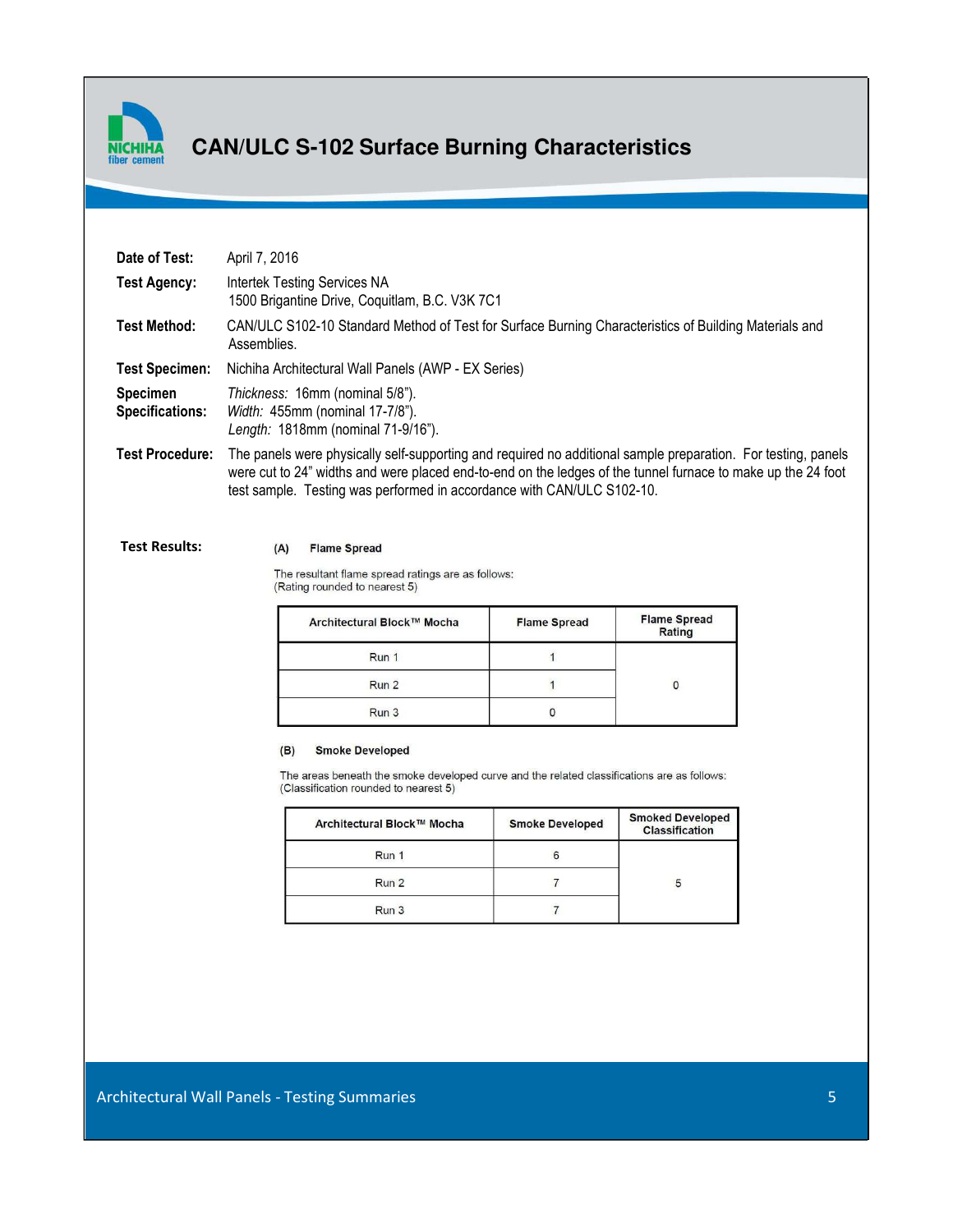

### **CAN/ULC S-102 Surface Burning Characteristics**

| Date of Test:                             | April 7, 2016                                                                                                                                                                                                                                                                                           |  |
|-------------------------------------------|---------------------------------------------------------------------------------------------------------------------------------------------------------------------------------------------------------------------------------------------------------------------------------------------------------|--|
| <b>Test Agency:</b>                       | Intertek Testing Services NA<br>1500 Brigantine Drive, Coquitlam, B.C. V3K 7C1                                                                                                                                                                                                                          |  |
| Test Method:                              | CAN/ULC S102-10 Standard Method of Test for Surface Burning Characteristics of Building Materials and<br>Assemblies.                                                                                                                                                                                    |  |
| <b>Test Specimen:</b>                     | Nichiha Architectural Wall Panels (AWP - EX Series)                                                                                                                                                                                                                                                     |  |
| <b>Specimen</b><br><b>Specifications:</b> | Thickness: 16mm (nominal 5/8").<br>Width: 455mm (nominal 17-7/8").<br>Length: 1818mm (nominal 71-9/16").                                                                                                                                                                                                |  |
| <b>Test Procedure:</b>                    | The panels were physically self-supporting and required no additional sample preparation. For testing, panels<br>were cut to 24" widths and were placed end-to-end on the ledges of the tunnel furnace to make up the 24 foot<br>test sample. Testing was performed in accordance with CAN/ULC S102-10. |  |

**Test Results:** 

#### (A) Flame Spread

The resultant flame spread ratings are as follows: (Rating rounded to nearest 5)

| Architectural Block™ Mocha | <b>Flame Spread</b> | <b>Flame Spread</b><br>Rating |
|----------------------------|---------------------|-------------------------------|
| Run 1                      |                     |                               |
| Run 2                      |                     |                               |
| Run 3                      |                     |                               |

#### **Smoke Developed**  $(B)$

The areas beneath the smoke developed curve and the related classifications are as follows: (Classification rounded to nearest 5)

| Architectural Block™ Mocha | <b>Smoke Developed</b> | <b>Smoked Developed</b><br><b>Classification</b> |
|----------------------------|------------------------|--------------------------------------------------|
| Run 1                      | 6                      |                                                  |
| Run 2                      |                        |                                                  |
| Run 3                      |                        |                                                  |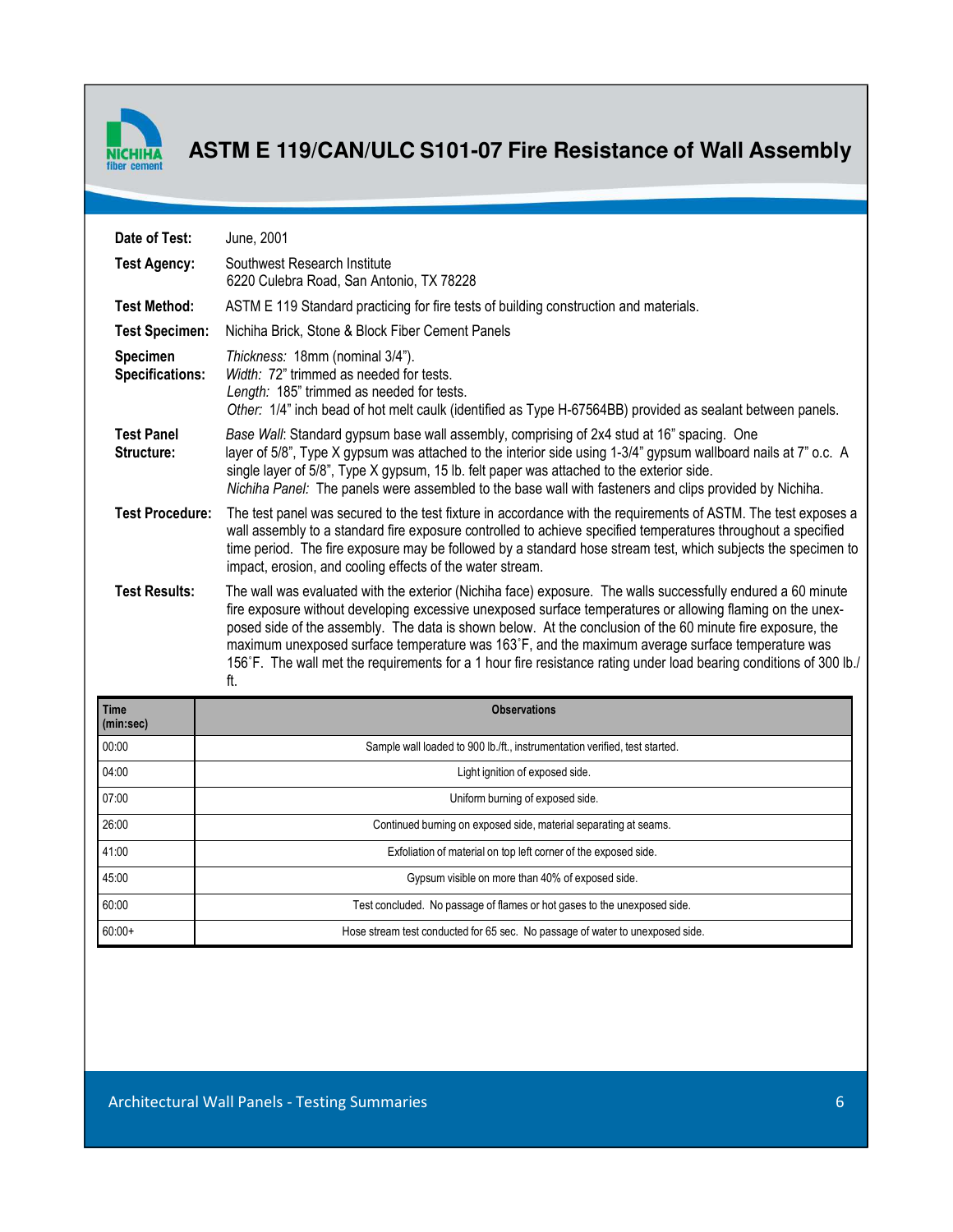

### **ASTM E 119/CAN/ULC S101-07 Fire Resistance of Wall Assembly**

| Date of Test:                             | June, 2001                                                                                                                                                                                                                                                                                                                                                                                                                                                                                                                                                                |
|-------------------------------------------|---------------------------------------------------------------------------------------------------------------------------------------------------------------------------------------------------------------------------------------------------------------------------------------------------------------------------------------------------------------------------------------------------------------------------------------------------------------------------------------------------------------------------------------------------------------------------|
| <b>Test Agency:</b>                       | Southwest Research Institute<br>6220 Culebra Road, San Antonio, TX 78228                                                                                                                                                                                                                                                                                                                                                                                                                                                                                                  |
| <b>Test Method:</b>                       | ASTM E 119 Standard practicing for fire tests of building construction and materials.                                                                                                                                                                                                                                                                                                                                                                                                                                                                                     |
| <b>Test Specimen:</b>                     | Nichiha Brick, Stone & Block Fiber Cement Panels                                                                                                                                                                                                                                                                                                                                                                                                                                                                                                                          |
| <b>Specimen</b><br><b>Specifications:</b> | Thickness: 18mm (nominal 3/4").<br>Width: 72" trimmed as needed for tests.<br>Length: 185" trimmed as needed for tests.<br>Other: 1/4" inch bead of hot melt caulk (identified as Type H-67564BB) provided as sealant between panels.                                                                                                                                                                                                                                                                                                                                     |
| <b>Test Panel</b><br>Structure:           | Base Wall: Standard gypsum base wall assembly, comprising of 2x4 stud at 16" spacing. One<br>layer of 5/8", Type X gypsum was attached to the interior side using 1-3/4" gypsum wallboard nails at 7" o.c. A<br>single layer of 5/8", Type X gypsum, 15 lb. felt paper was attached to the exterior side.<br>Nichiha Panel: The panels were assembled to the base wall with fasteners and clips provided by Nichiha.                                                                                                                                                      |
| <b>Test Procedure:</b>                    | The test panel was secured to the test fixture in accordance with the requirements of ASTM. The test exposes a<br>wall assembly to a standard fire exposure controlled to achieve specified temperatures throughout a specified<br>time period. The fire exposure may be followed by a standard hose stream test, which subjects the specimen to<br>impact, erosion, and cooling effects of the water stream.                                                                                                                                                             |
| <b>Test Results:</b>                      | The wall was evaluated with the exterior (Nichiha face) exposure. The walls successfully endured a 60 minute<br>fire exposure without developing excessive unexposed surface temperatures or allowing flaming on the unex-<br>posed side of the assembly. The data is shown below. At the conclusion of the 60 minute fire exposure, the<br>maximum unexposed surface temperature was 163°F, and the maximum average surface temperature was<br>156°F. The wall met the requirements for a 1 hour fire resistance rating under load bearing conditions of 300 lb./<br>ft. |
| <b>Time</b><br>(min:sec)                  | <b>Observations</b>                                                                                                                                                                                                                                                                                                                                                                                                                                                                                                                                                       |
| 00:00                                     | Sample wall loaded to 900 lb./ft., instrumentation verified, test started.                                                                                                                                                                                                                                                                                                                                                                                                                                                                                                |
| 04:00                                     | Light ignition of exposed side.                                                                                                                                                                                                                                                                                                                                                                                                                                                                                                                                           |
| 07:00                                     | Uniform burning of exposed side.                                                                                                                                                                                                                                                                                                                                                                                                                                                                                                                                          |
| 26:00                                     | Continued burning on exposed side, material separating at seams.                                                                                                                                                                                                                                                                                                                                                                                                                                                                                                          |
| 41:00                                     | Exfoliation of material on top left corner of the exposed side.                                                                                                                                                                                                                                                                                                                                                                                                                                                                                                           |
| 45:00                                     | Gypsum visible on more than 40% of exposed side.                                                                                                                                                                                                                                                                                                                                                                                                                                                                                                                          |

60:00 Test concluded. No passage of flames or hot gases to the unexposed side. 60:00+ Hose stream test conducted for 65 sec. No passage of water to unexposed side.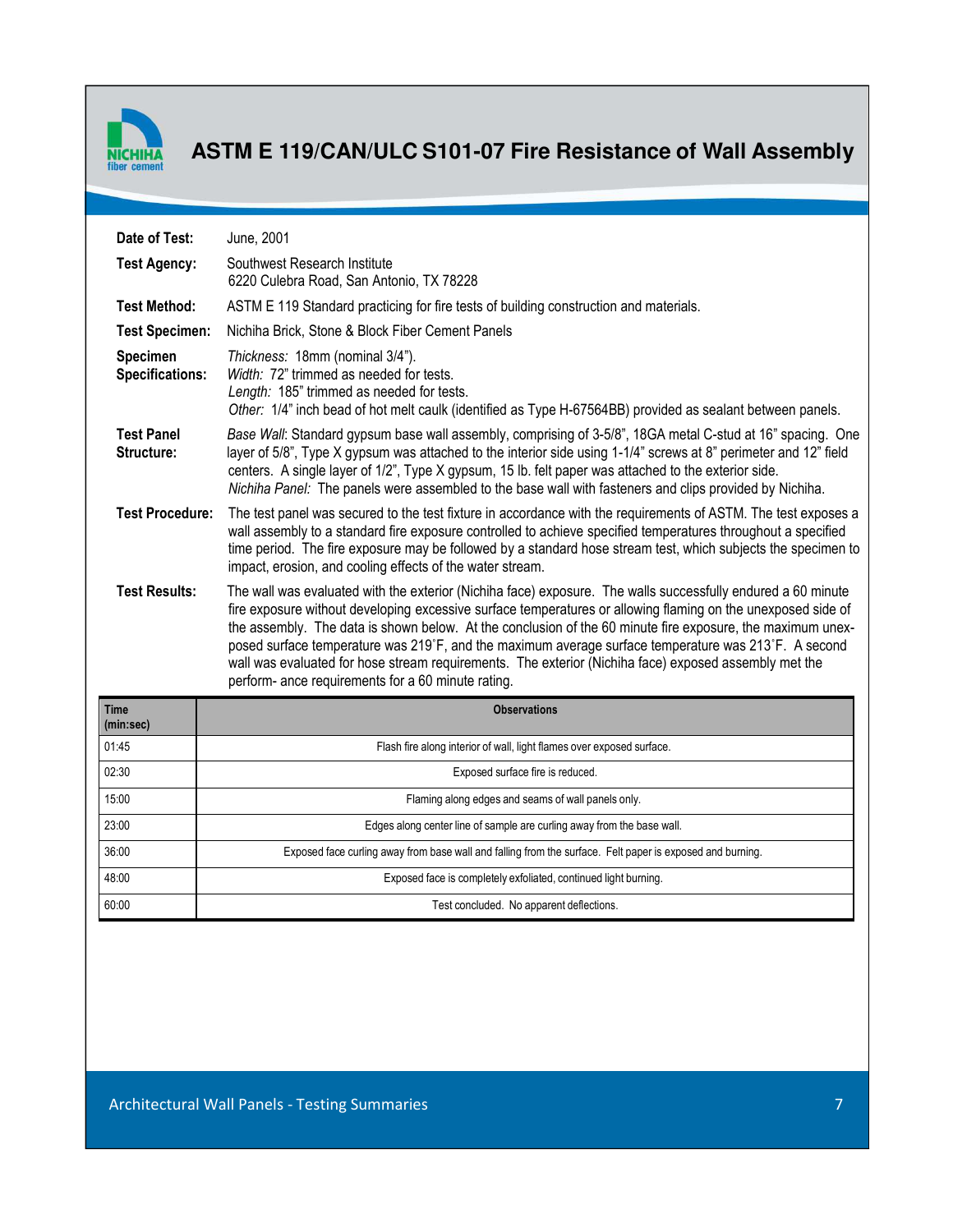

# **ASTM E 119/CAN/ULC S101-07 Fire Resistance of Wall Assembly**

| Date of Test:<br>June, 2001               |                                                                                                                                                                                                                                                                                                                                                                                                                                                                                                                                                                                                                   |
|-------------------------------------------|-------------------------------------------------------------------------------------------------------------------------------------------------------------------------------------------------------------------------------------------------------------------------------------------------------------------------------------------------------------------------------------------------------------------------------------------------------------------------------------------------------------------------------------------------------------------------------------------------------------------|
| <b>Test Agency:</b>                       | Southwest Research Institute<br>6220 Culebra Road, San Antonio, TX 78228                                                                                                                                                                                                                                                                                                                                                                                                                                                                                                                                          |
| <b>Test Method:</b>                       | ASTM E 119 Standard practicing for fire tests of building construction and materials.                                                                                                                                                                                                                                                                                                                                                                                                                                                                                                                             |
| <b>Test Specimen:</b>                     | Nichiha Brick, Stone & Block Fiber Cement Panels                                                                                                                                                                                                                                                                                                                                                                                                                                                                                                                                                                  |
| <b>Specimen</b><br><b>Specifications:</b> | Thickness: 18mm (nominal 3/4").<br>Width: 72" trimmed as needed for tests.<br>Length: 185" trimmed as needed for tests.<br>Other: 1/4" inch bead of hot melt caulk (identified as Type H-67564BB) provided as sealant between panels.                                                                                                                                                                                                                                                                                                                                                                             |
| <b>Test Panel</b><br>Structure:           | Base Wall: Standard gypsum base wall assembly, comprising of 3-5/8", 18GA metal C-stud at 16" spacing. One<br>layer of 5/8", Type X gypsum was attached to the interior side using 1-1/4" screws at 8" perimeter and 12" field<br>centers. A single layer of 1/2", Type X gypsum, 15 lb. felt paper was attached to the exterior side.<br>Nichiha Panel: The panels were assembled to the base wall with fasteners and clips provided by Nichiha.                                                                                                                                                                 |
| <b>Test Procedure:</b>                    | The test panel was secured to the test fixture in accordance with the requirements of ASTM. The test exposes a<br>wall assembly to a standard fire exposure controlled to achieve specified temperatures throughout a specified<br>time period. The fire exposure may be followed by a standard hose stream test, which subjects the specimen to<br>impact, erosion, and cooling effects of the water stream.                                                                                                                                                                                                     |
| <b>Test Results:</b>                      | The wall was evaluated with the exterior (Nichiha face) exposure. The walls successfully endured a 60 minute<br>fire exposure without developing excessive surface temperatures or allowing flaming on the unexposed side of<br>the assembly. The data is shown below. At the conclusion of the 60 minute fire exposure, the maximum unex-<br>posed surface temperature was 219°F, and the maximum average surface temperature was 213°F. A second<br>wall was evaluated for hose stream requirements. The exterior (Nichiha face) exposed assembly met the<br>perform- ance requirements for a 60 minute rating. |
| Time<br>(min:sec)                         | <b>Observations</b>                                                                                                                                                                                                                                                                                                                                                                                                                                                                                                                                                                                               |
| 01:45                                     | Flash fire along interior of wall, light flames over exposed surface.                                                                                                                                                                                                                                                                                                                                                                                                                                                                                                                                             |
| 02:30                                     | Exposed surface fire is reduced.                                                                                                                                                                                                                                                                                                                                                                                                                                                                                                                                                                                  |
| 15:00                                     | Flaming along edges and seams of wall panels only.                                                                                                                                                                                                                                                                                                                                                                                                                                                                                                                                                                |
| 23:00                                     | Edges along center line of sample are curling away from the base wall.                                                                                                                                                                                                                                                                                                                                                                                                                                                                                                                                            |
| 36:00                                     | Exposed face curling away from base wall and falling from the surface. Felt paper is exposed and burning.                                                                                                                                                                                                                                                                                                                                                                                                                                                                                                         |
| 48:00                                     | Exposed face is completely exfoliated, continued light burning.                                                                                                                                                                                                                                                                                                                                                                                                                                                                                                                                                   |
| 60:00                                     | Test concluded. No apparent deflections.                                                                                                                                                                                                                                                                                                                                                                                                                                                                                                                                                                          |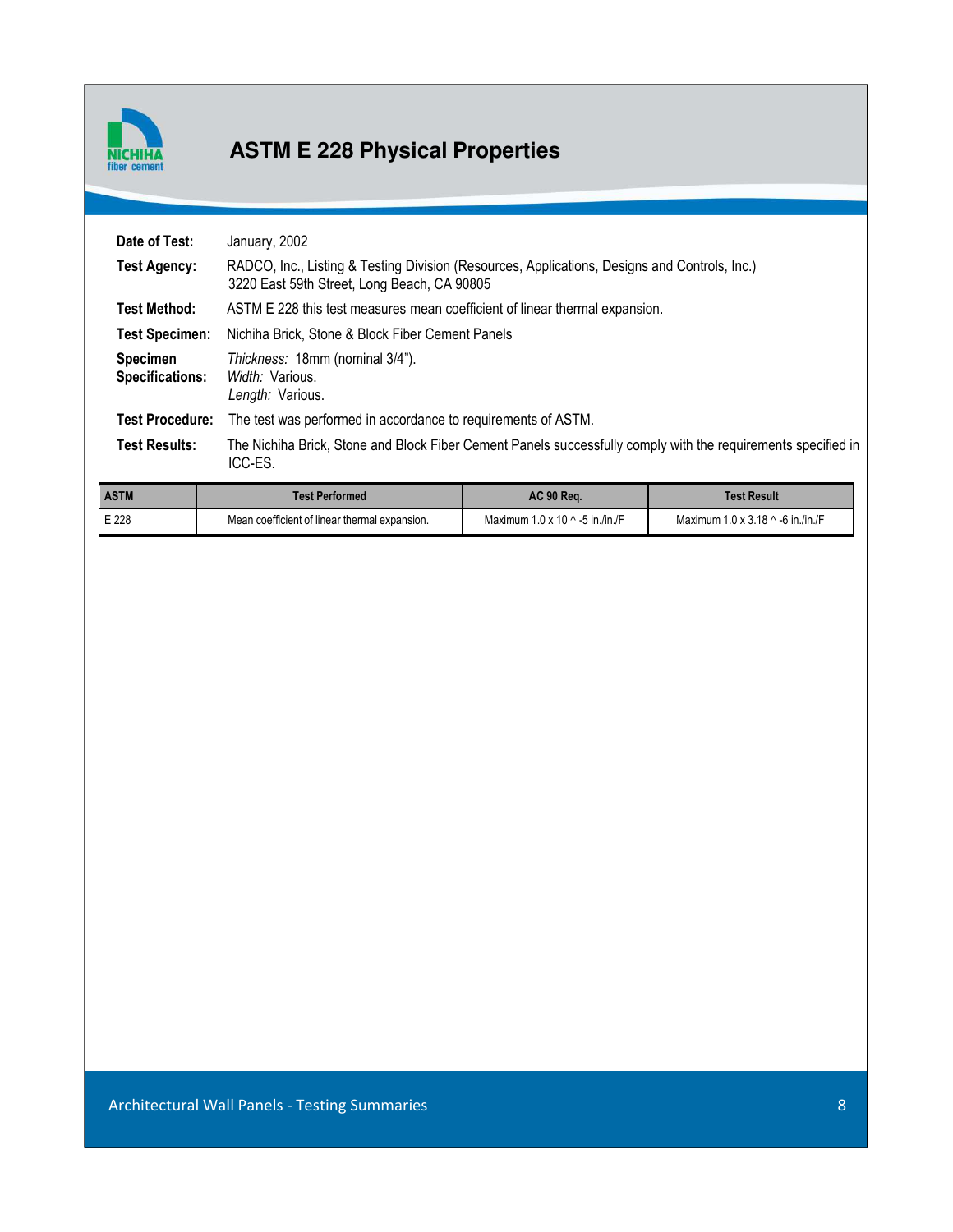

# **ASTM E 228 Physical Properties**

| Date of Test:                             | January, 2002                                                                                                                                |
|-------------------------------------------|----------------------------------------------------------------------------------------------------------------------------------------------|
| Test Agency:                              | RADCO, Inc., Listing & Testing Division (Resources, Applications, Designs and Controls, Inc.)<br>3220 East 59th Street, Long Beach, CA 90805 |
| <b>Test Method:</b>                       | ASTM E 228 this test measures mean coefficient of linear thermal expansion.                                                                  |
| <b>Test Specimen:</b>                     | Nichiha Brick, Stone & Block Fiber Cement Panels                                                                                             |
| <b>Specimen</b><br><b>Specifications:</b> | Thickness: 18mm (nominal 3/4").<br>Width: Various.<br>Length: Various.                                                                       |
| <b>Test Procedure:</b>                    | The test was performed in accordance to requirements of ASTM.                                                                                |
| <b>Test Results:</b>                      | The Nichiha Brick, Stone and Block Fiber Cement Panels successfully comply with the requirements specified in<br>ICC-ES.                     |

| <b>ASTM</b> | Test Performed                                | <b>AC 90 Rea.</b>                      | Test Result                              |
|-------------|-----------------------------------------------|----------------------------------------|------------------------------------------|
| E 228       | Mean coefficient of linear thermal expansion. | Maximum $1.0 \times 10$ ^ -5 in /in /F | Maximum $1.0 \times 3.18$ ^ -6 in /in /F |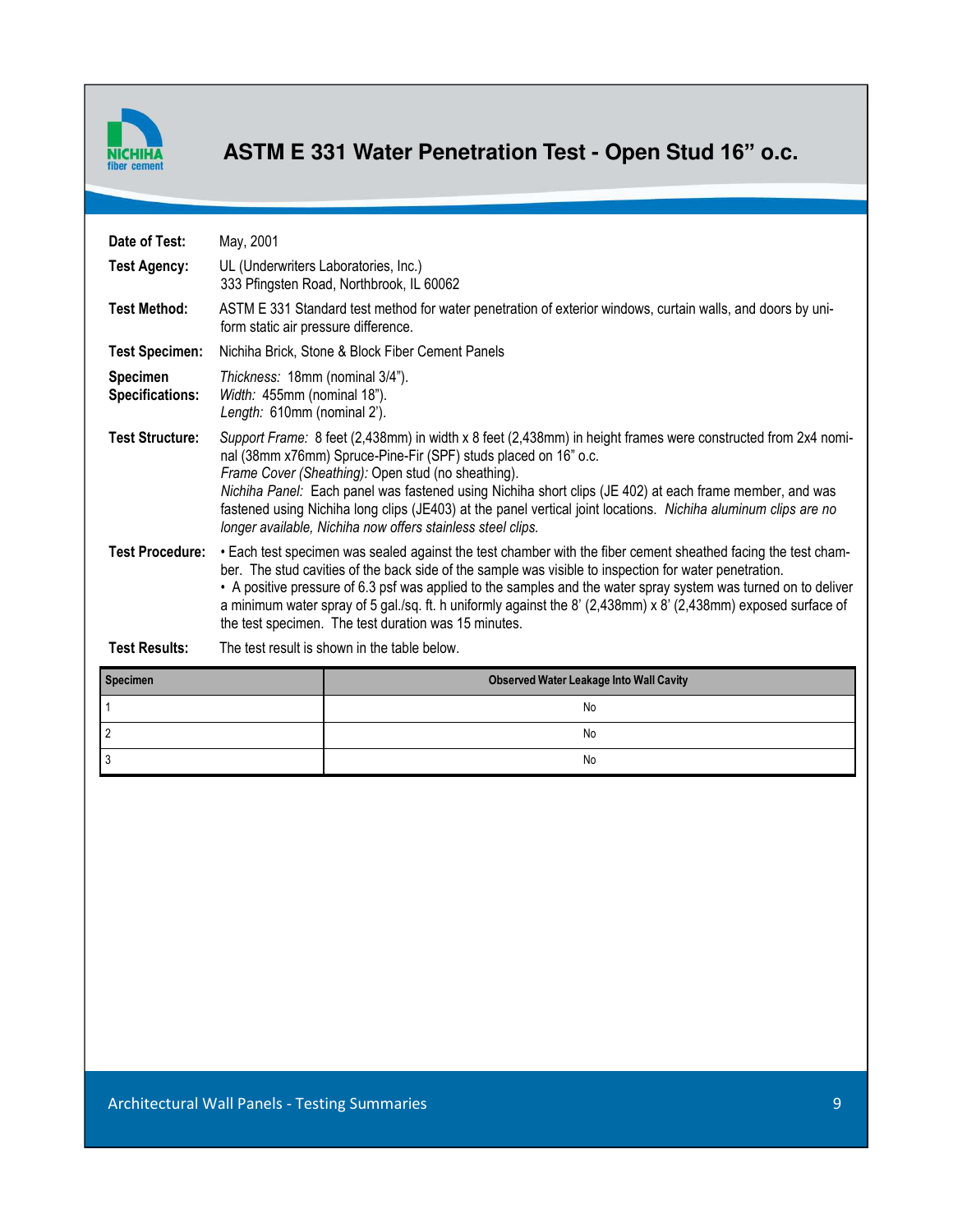

# **ASTM E 331 Water Penetration Test - Open Stud 16" o.c.**

| Date of Test:                             | May, 2001                                                                                                                                                                                                                                                                                                                                                                                                                                                                                                                         |
|-------------------------------------------|-----------------------------------------------------------------------------------------------------------------------------------------------------------------------------------------------------------------------------------------------------------------------------------------------------------------------------------------------------------------------------------------------------------------------------------------------------------------------------------------------------------------------------------|
| <b>Test Agency:</b>                       | UL (Underwriters Laboratories, Inc.)<br>333 Pfingsten Road, Northbrook, IL 60062                                                                                                                                                                                                                                                                                                                                                                                                                                                  |
| <b>Test Method:</b>                       | ASTM E 331 Standard test method for water penetration of exterior windows, curtain walls, and doors by uni-<br>form static air pressure difference.                                                                                                                                                                                                                                                                                                                                                                               |
| <b>Test Specimen:</b>                     | Nichiha Brick, Stone & Block Fiber Cement Panels                                                                                                                                                                                                                                                                                                                                                                                                                                                                                  |
| <b>Specimen</b><br><b>Specifications:</b> | Thickness: 18mm (nominal 3/4").<br>Width: 455mm (nominal 18").<br>Length: 610mm (nominal 2').                                                                                                                                                                                                                                                                                                                                                                                                                                     |
| <b>Test Structure:</b>                    | Support Frame: 8 feet (2,438mm) in width x 8 feet (2,438mm) in height frames were constructed from 2x4 nomi-<br>nal (38mm x76mm) Spruce-Pine-Fir (SPF) studs placed on 16" o.c.<br>Frame Cover (Sheathing): Open stud (no sheathing).<br>Nichiha Panel: Each panel was fastened using Nichiha short clips (JE 402) at each frame member, and was<br>fastened using Nichiha long clips (JE403) at the panel vertical joint locations. Nichiha aluminum clips are no<br>longer available, Nichiha now offers stainless steel clips. |
| <b>Test Procedure:</b>                    | • Each test specimen was sealed against the test chamber with the fiber cement sheathed facing the test cham-<br>ber. The stud cavities of the back side of the sample was visible to inspection for water penetration.<br>. A positive pressure of 6.3 psf was applied to the samples and the water spray system was turned on to deliver<br>a minimum water spray of 5 gal./sq. ft. h uniformly against the 8' (2,438mm) x 8' (2,438mm) exposed surface of<br>the test specimen. The test duration was 15 minutes.              |
| <b>Test Results:</b>                      | The test result is shown in the table below.                                                                                                                                                                                                                                                                                                                                                                                                                                                                                      |
|                                           |                                                                                                                                                                                                                                                                                                                                                                                                                                                                                                                                   |

| <b>Specimen</b> | <b>Observed Water Leakage Into Wall Cavity</b> |
|-----------------|------------------------------------------------|
|                 | No                                             |
|                 | No                                             |
|                 | No                                             |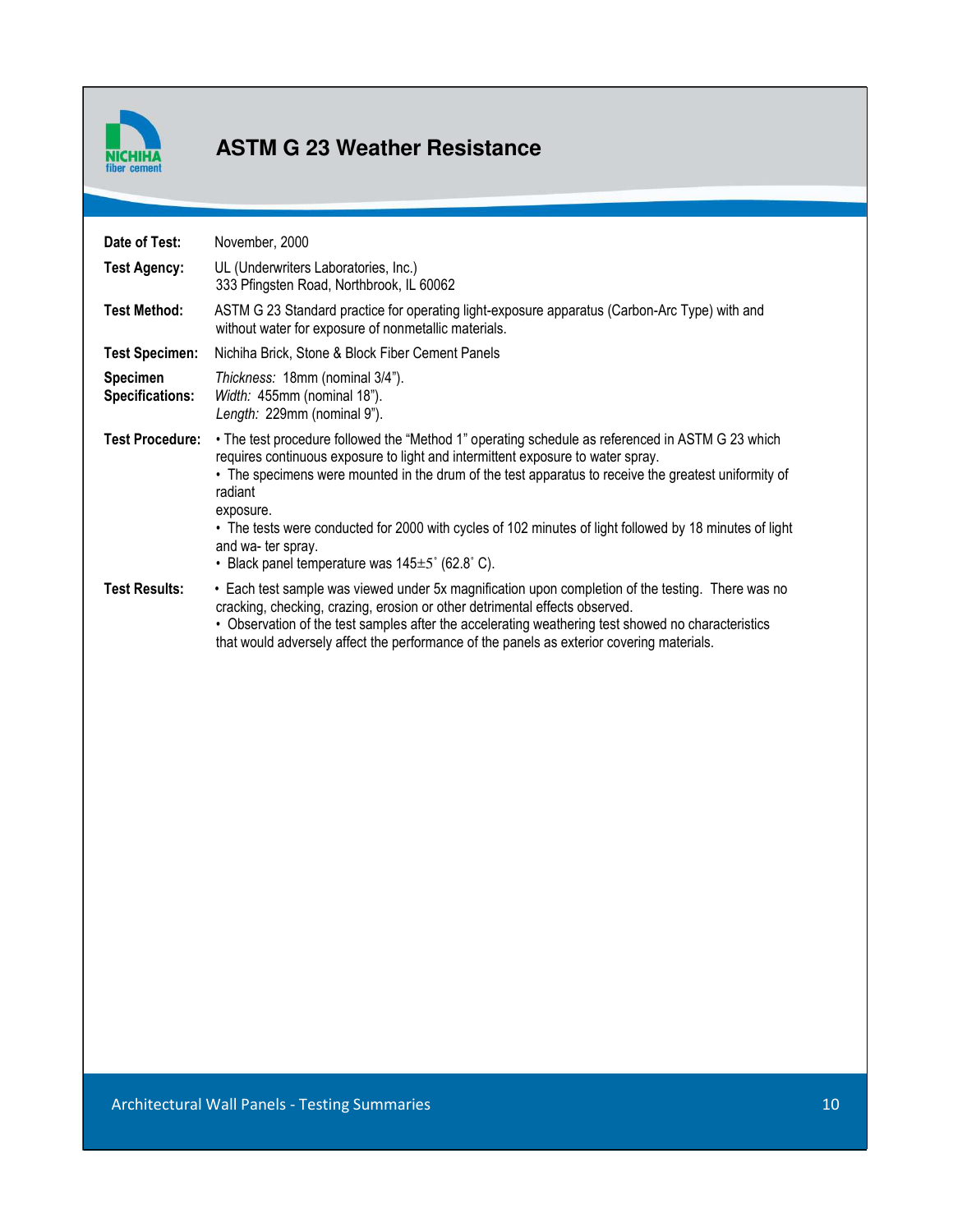

### **ASTM G 23 Weather Resistance**

| Date of Test:                             | November, 2000                                                                                                                                                                                                                                                                                                                                                                                                                                                                                                    |
|-------------------------------------------|-------------------------------------------------------------------------------------------------------------------------------------------------------------------------------------------------------------------------------------------------------------------------------------------------------------------------------------------------------------------------------------------------------------------------------------------------------------------------------------------------------------------|
| <b>Test Agency:</b>                       | UL (Underwriters Laboratories, Inc.)<br>333 Pfingsten Road, Northbrook, IL 60062                                                                                                                                                                                                                                                                                                                                                                                                                                  |
| <b>Test Method:</b>                       | ASTM G 23 Standard practice for operating light-exposure apparatus (Carbon-Arc Type) with and<br>without water for exposure of nonmetallic materials.                                                                                                                                                                                                                                                                                                                                                             |
| <b>Test Specimen:</b>                     | Nichiha Brick, Stone & Block Fiber Cement Panels                                                                                                                                                                                                                                                                                                                                                                                                                                                                  |
| <b>Specimen</b><br><b>Specifications:</b> | Thickness: 18mm (nominal 3/4").<br>Width: 455mm (nominal 18").<br>Length: 229mm (nominal 9").                                                                                                                                                                                                                                                                                                                                                                                                                     |
| <b>Test Procedure:</b>                    | • The test procedure followed the "Method 1" operating schedule as referenced in ASTM G 23 which<br>requires continuous exposure to light and intermittent exposure to water spray.<br>• The specimens were mounted in the drum of the test apparatus to receive the greatest uniformity of<br>radiant<br>exposure.<br>• The tests were conducted for 2000 with cycles of 102 minutes of light followed by 18 minutes of light<br>and wa- ter spray.<br>• Black panel temperature was $145\pm5^{\circ}$ (62.8°C). |
| <b>Test Results:</b>                      | • Each test sample was viewed under 5x magnification upon completion of the testing. There was no<br>cracking, checking, crazing, erosion or other detrimental effects observed.<br>• Observation of the test samples after the accelerating weathering test showed no characteristics<br>that would adversely affect the performance of the panels as exterior covering materials.                                                                                                                               |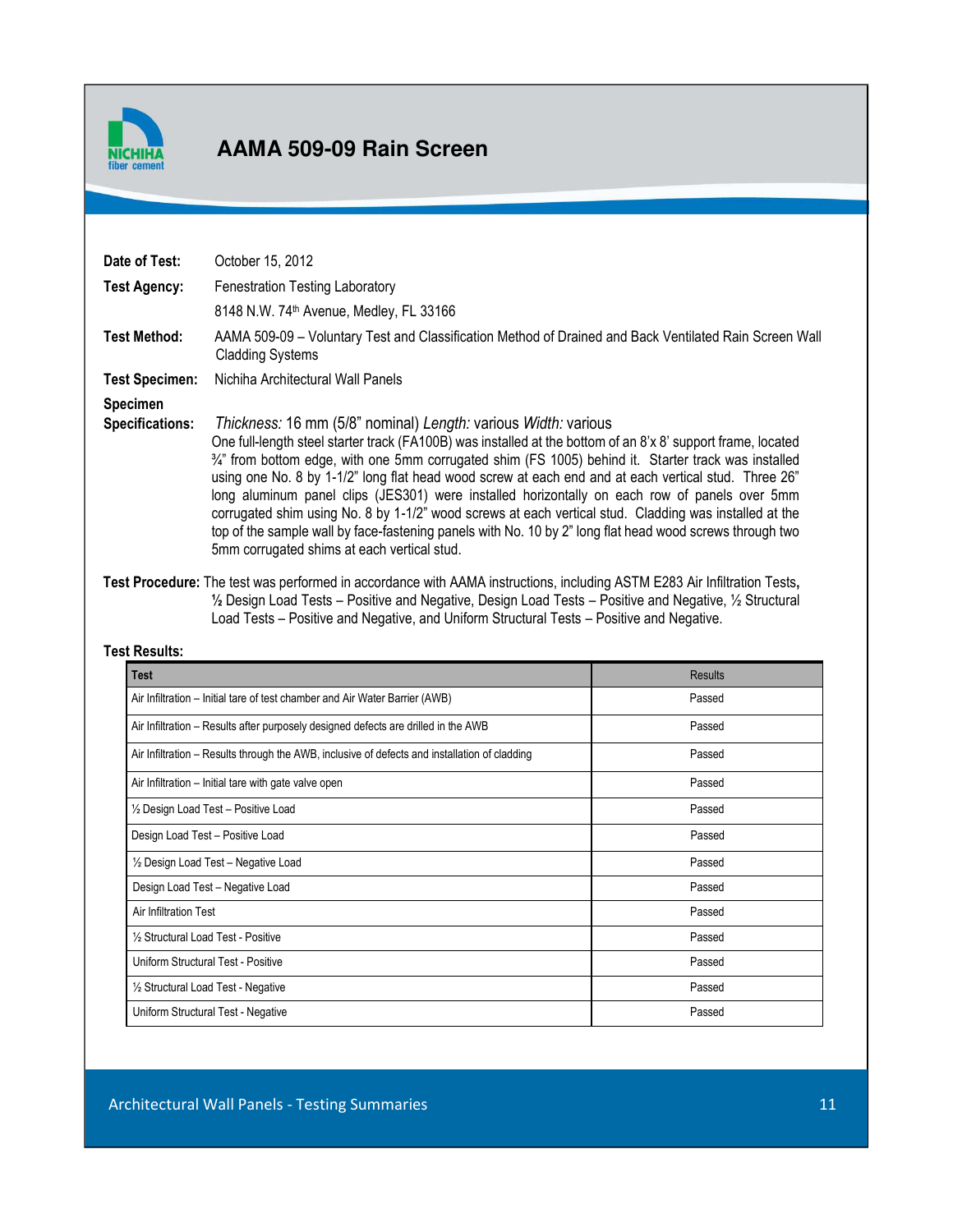

#### **AAMA 509-09 Rain Screen ABILITY STATE FIRE FIRE FIRE TESTS**

| Date of Test:<br>Test Agency:             | October 15, 2012<br><b>Fenestration Testing Laboratory</b><br>8148 N.W. 74 <sup>th</sup> Avenue, Medley, FL 33166                                                                                                                                                                                                                                                                                                                                                                                                                                                                                                                                                                                                                                                                             |
|-------------------------------------------|-----------------------------------------------------------------------------------------------------------------------------------------------------------------------------------------------------------------------------------------------------------------------------------------------------------------------------------------------------------------------------------------------------------------------------------------------------------------------------------------------------------------------------------------------------------------------------------------------------------------------------------------------------------------------------------------------------------------------------------------------------------------------------------------------|
| <b>Test Method:</b>                       | AAMA 509-09 - Voluntary Test and Classification Method of Drained and Back Ventilated Rain Screen Wall<br><b>Cladding Systems</b>                                                                                                                                                                                                                                                                                                                                                                                                                                                                                                                                                                                                                                                             |
| <b>Test Specimen:</b>                     | Nichiha Architectural Wall Panels                                                                                                                                                                                                                                                                                                                                                                                                                                                                                                                                                                                                                                                                                                                                                             |
| <b>Specimen</b><br><b>Specifications:</b> | <i>Thickness:</i> 16 mm (5/8" nominal) Length: various <i>Width: various</i><br>One full-length steel starter track (FA100B) was installed at the bottom of an 8'x 8' support frame, located<br>$\frac{3}{4}$ " from bottom edge, with one 5mm corrugated shim (FS 1005) behind it. Starter track was installed<br>using one No. 8 by 1-1/2" long flat head wood screw at each end and at each vertical stud. Three 26"<br>long aluminum panel clips (JES301) were installed horizontally on each row of panels over 5mm<br>corrugated shim using No. 8 by 1-1/2" wood screws at each vertical stud. Cladding was installed at the<br>top of the sample wall by face-fastening panels with No. 10 by 2" long flat head wood screws through two<br>5mm corrugated shims at each vertical stud. |

 **Test Procedure:** The test was performed in accordance with AAMA instructions, including ASTM E283 Air Infiltration Tests**, ½** Design Load Tests – Positive and Negative, Design Load Tests – Positive and Negative, ½ Structural Load Tests – Positive and Negative, and Uniform Structural Tests – Positive and Negative.

#### **Test Results:**

| <b>Test</b>                                                                                   | <b>Results</b> |
|-----------------------------------------------------------------------------------------------|----------------|
| Air Infiltration – Initial tare of test chamber and Air Water Barrier (AWB)                   | Passed         |
| Air Infiltration – Results after purposely designed defects are drilled in the AWB            | Passed         |
| Air Infiltration – Results through the AWB, inclusive of defects and installation of cladding | Passed         |
| Air Infiltration – Initial tare with gate valve open                                          | Passed         |
| 1/2 Design Load Test - Positive Load                                                          | Passed         |
| Design Load Test - Positive Load                                                              | Passed         |
| 1/2 Design Load Test - Negative Load                                                          | Passed         |
| Design Load Test - Negative Load                                                              | Passed         |
| Air Infiltration Test                                                                         | Passed         |
| 1/2 Structural Load Test - Positive                                                           | Passed         |
| Uniform Structural Test - Positive                                                            | Passed         |
| 1/2 Structural Load Test - Negative                                                           | Passed         |
| Uniform Structural Test - Negative                                                            | Passed         |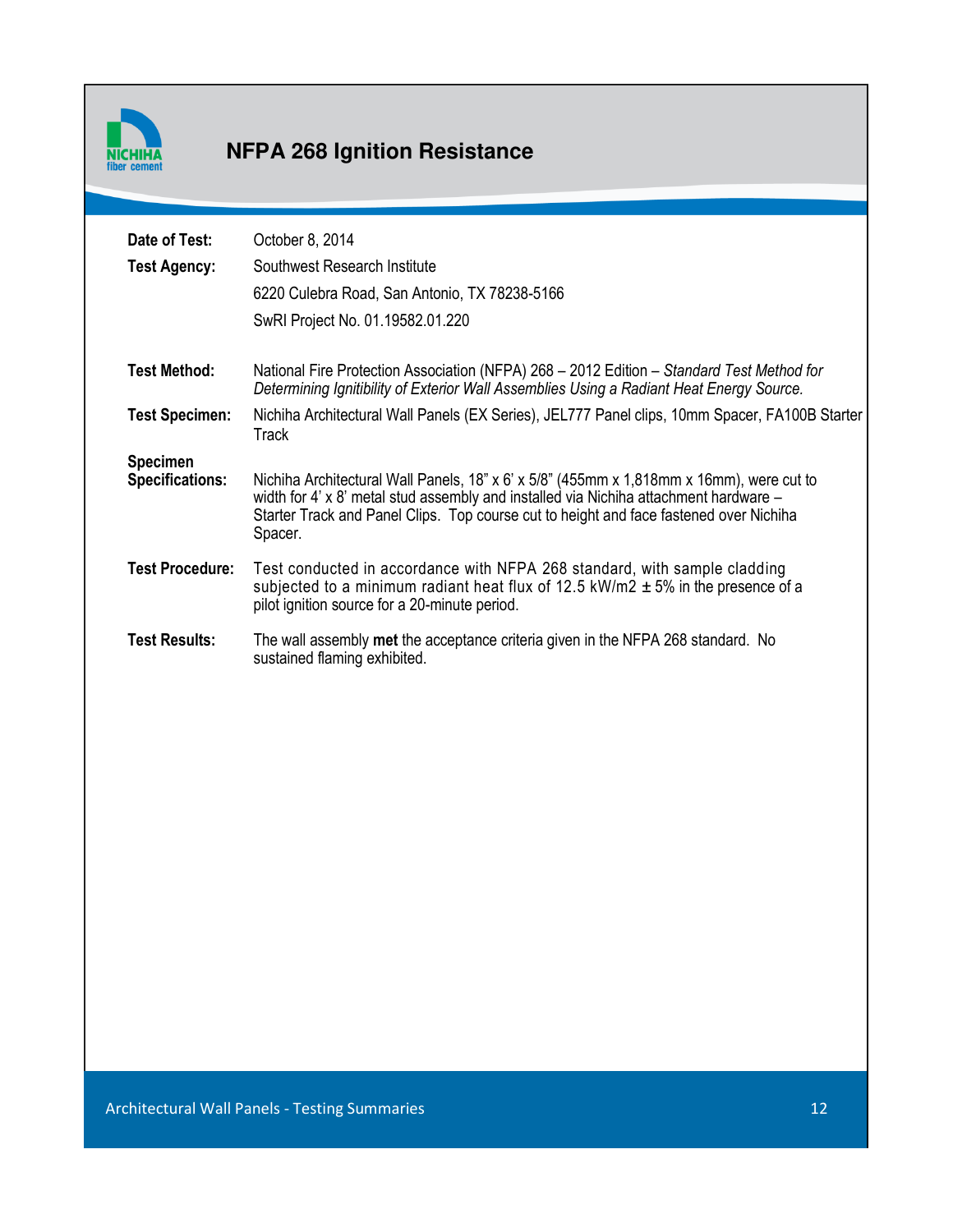

# **ASTM AND ASSEM PROPERTIES**

| Date of Test:<br><b>Test Agency:</b>      | October 8, 2014<br>Southwest Research Institute<br>6220 Culebra Road, San Antonio, TX 78238-5166                                                                                                                                                                                       |
|-------------------------------------------|----------------------------------------------------------------------------------------------------------------------------------------------------------------------------------------------------------------------------------------------------------------------------------------|
|                                           | SwRI Project No. 01.19582.01.220                                                                                                                                                                                                                                                       |
| <b>Test Method:</b>                       | National Fire Protection Association (NFPA) 268 - 2012 Edition - Standard Test Method for<br>Determining Ignitibility of Exterior Wall Assemblies Using a Radiant Heat Energy Source.                                                                                                  |
| <b>Test Specimen:</b>                     | Nichiha Architectural Wall Panels (EX Series), JEL777 Panel clips, 10mm Spacer, FA100B Starter<br><b>Track</b>                                                                                                                                                                         |
| <b>Specimen</b><br><b>Specifications:</b> | Nichiha Architectural Wall Panels, 18" x 6' x 5/8" (455mm x 1,818mm x 16mm), were cut to<br>width for 4' x 8' metal stud assembly and installed via Nichiha attachment hardware -<br>Starter Track and Panel Clips. Top course cut to height and face fastened over Nichiha<br>Spacer. |
| <b>Test Procedure:</b>                    | Test conducted in accordance with NFPA 268 standard, with sample cladding<br>subjected to a minimum radiant heat flux of 12.5 kW/m2 $\pm$ 5% in the presence of a<br>pilot ignition source for a 20-minute period.                                                                     |
| <b>Test Results:</b>                      | The wall assembly met the acceptance criteria given in the NFPA 268 standard. No<br>sustained flaming exhibited.                                                                                                                                                                       |
|                                           |                                                                                                                                                                                                                                                                                        |
|                                           |                                                                                                                                                                                                                                                                                        |
|                                           |                                                                                                                                                                                                                                                                                        |
|                                           |                                                                                                                                                                                                                                                                                        |
|                                           |                                                                                                                                                                                                                                                                                        |
|                                           |                                                                                                                                                                                                                                                                                        |
|                                           |                                                                                                                                                                                                                                                                                        |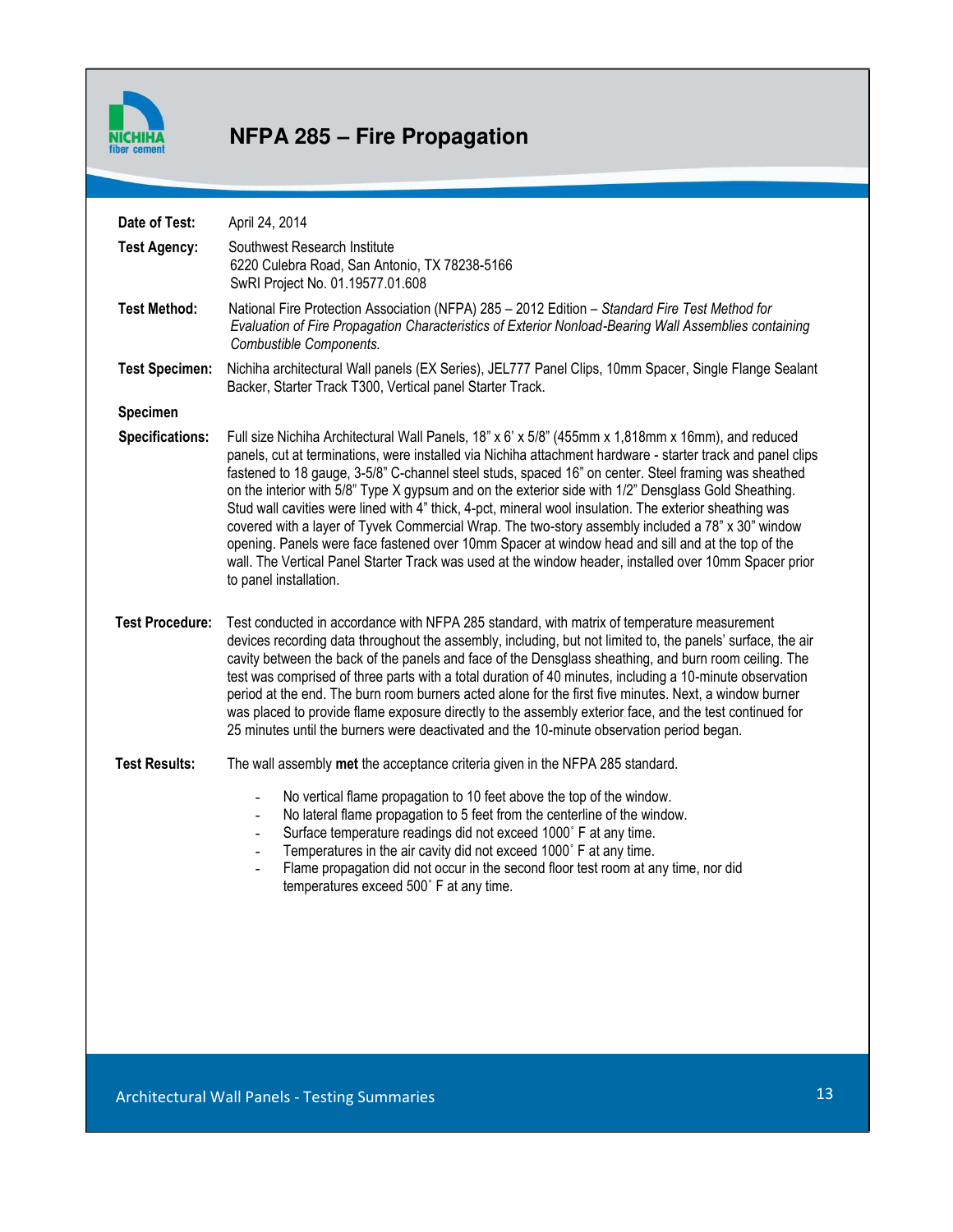

# **NFPA 285 – Fire Propagation**

| Date of Test:          | April 24, 2014                                                                                                                                                                                                                                                                                                                                                                                                                                                                                                                                                                                                                                                                                                                                                                                                                                                                             |    |
|------------------------|--------------------------------------------------------------------------------------------------------------------------------------------------------------------------------------------------------------------------------------------------------------------------------------------------------------------------------------------------------------------------------------------------------------------------------------------------------------------------------------------------------------------------------------------------------------------------------------------------------------------------------------------------------------------------------------------------------------------------------------------------------------------------------------------------------------------------------------------------------------------------------------------|----|
| <b>Test Agency:</b>    | Southwest Research Institute<br>6220 Culebra Road, San Antonio, TX 78238-5166<br>SwRI Project No. 01.19577.01.608                                                                                                                                                                                                                                                                                                                                                                                                                                                                                                                                                                                                                                                                                                                                                                          |    |
| <b>Test Method:</b>    | National Fire Protection Association (NFPA) 285 - 2012 Edition - Standard Fire Test Method for<br>Evaluation of Fire Propagation Characteristics of Exterior Nonload-Bearing Wall Assemblies containing<br>Combustible Components.                                                                                                                                                                                                                                                                                                                                                                                                                                                                                                                                                                                                                                                         |    |
| <b>Test Specimen:</b>  | Nichiha architectural Wall panels (EX Series), JEL777 Panel Clips, 10mm Spacer, Single Flange Sealant<br>Backer, Starter Track T300, Vertical panel Starter Track.                                                                                                                                                                                                                                                                                                                                                                                                                                                                                                                                                                                                                                                                                                                         |    |
| Specimen               |                                                                                                                                                                                                                                                                                                                                                                                                                                                                                                                                                                                                                                                                                                                                                                                                                                                                                            |    |
| <b>Specifications:</b> | Full size Nichiha Architectural Wall Panels, 18" x 6' x 5/8" (455mm x 1,818mm x 16mm), and reduced<br>panels, cut at terminations, were installed via Nichiha attachment hardware - starter track and panel clips<br>fastened to 18 gauge, 3-5/8" C-channel steel studs, spaced 16" on center. Steel framing was sheathed<br>on the interior with 5/8" Type X gypsum and on the exterior side with 1/2" Densglass Gold Sheathing.<br>Stud wall cavities were lined with 4" thick, 4-pct, mineral wool insulation. The exterior sheathing was<br>covered with a layer of Tyvek Commercial Wrap. The two-story assembly included a 78" x 30" window<br>opening. Panels were face fastened over 10mm Spacer at window head and sill and at the top of the<br>wall. The Vertical Panel Starter Track was used at the window header, installed over 10mm Spacer prior<br>to panel installation. |    |
| <b>Test Procedure:</b> | Test conducted in accordance with NFPA 285 standard, with matrix of temperature measurement<br>devices recording data throughout the assembly, including, but not limited to, the panels' surface, the air<br>cavity between the back of the panels and face of the Densglass sheathing, and burn room ceiling. The<br>test was comprised of three parts with a total duration of 40 minutes, including a 10-minute observation<br>period at the end. The burn room burners acted alone for the first five minutes. Next, a window burner<br>was placed to provide flame exposure directly to the assembly exterior face, and the test continued for<br>25 minutes until the burners were deactivated and the 10-minute observation period began.                                                                                                                                          |    |
| <b>Test Results:</b>   | The wall assembly met the acceptance criteria given in the NFPA 285 standard.                                                                                                                                                                                                                                                                                                                                                                                                                                                                                                                                                                                                                                                                                                                                                                                                              |    |
|                        | No vertical flame propagation to 10 feet above the top of the window.<br>$\blacksquare$<br>No lateral flame propagation to 5 feet from the centerline of the window.<br>$\frac{1}{2}$<br>Surface temperature readings did not exceed 1000° F at any time.<br>$\qquad \qquad \blacksquare$<br>Temperatures in the air cavity did not exceed 1000° F at any time.<br>$\overline{\phantom{a}}$<br>Flame propagation did not occur in the second floor test room at any time, nor did<br>$\qquad \qquad \blacksquare$<br>temperatures exceed 500° F at any time.                                                                                                                                                                                                                                                                                                                               |    |
|                        |                                                                                                                                                                                                                                                                                                                                                                                                                                                                                                                                                                                                                                                                                                                                                                                                                                                                                            |    |
|                        | Architectural Wall Panels - Testing Summaries                                                                                                                                                                                                                                                                                                                                                                                                                                                                                                                                                                                                                                                                                                                                                                                                                                              | 13 |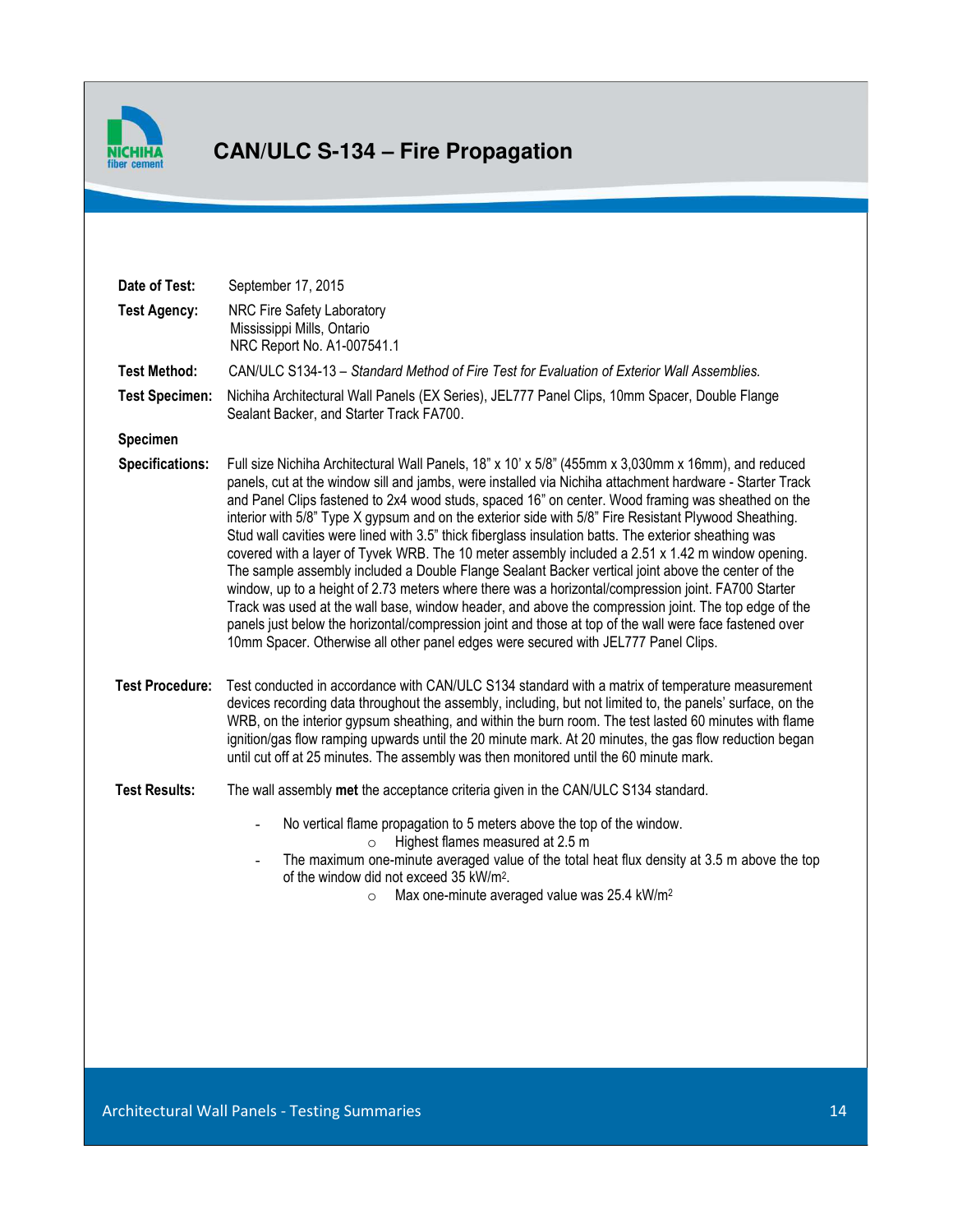

# **CAN/ULC S-134 – Fire Propagation**

| Date of Test:          | September 17, 2015                                                                                                                                                                                                                                                                                                                                                                                                                                                                                                                                                                                                                                                                                                                                                                                                                                                                                                                                                                                                                                                                                                                                                 |
|------------------------|--------------------------------------------------------------------------------------------------------------------------------------------------------------------------------------------------------------------------------------------------------------------------------------------------------------------------------------------------------------------------------------------------------------------------------------------------------------------------------------------------------------------------------------------------------------------------------------------------------------------------------------------------------------------------------------------------------------------------------------------------------------------------------------------------------------------------------------------------------------------------------------------------------------------------------------------------------------------------------------------------------------------------------------------------------------------------------------------------------------------------------------------------------------------|
| <b>Test Agency:</b>    | NRC Fire Safety Laboratory<br>Mississippi Mills, Ontario<br>NRC Report No. A1-007541.1                                                                                                                                                                                                                                                                                                                                                                                                                                                                                                                                                                                                                                                                                                                                                                                                                                                                                                                                                                                                                                                                             |
| <b>Test Method:</b>    | CAN/ULC S134-13 - Standard Method of Fire Test for Evaluation of Exterior Wall Assemblies.                                                                                                                                                                                                                                                                                                                                                                                                                                                                                                                                                                                                                                                                                                                                                                                                                                                                                                                                                                                                                                                                         |
| <b>Test Specimen:</b>  | Nichiha Architectural Wall Panels (EX Series), JEL777 Panel Clips, 10mm Spacer, Double Flange<br>Sealant Backer, and Starter Track FA700.                                                                                                                                                                                                                                                                                                                                                                                                                                                                                                                                                                                                                                                                                                                                                                                                                                                                                                                                                                                                                          |
| Specimen               |                                                                                                                                                                                                                                                                                                                                                                                                                                                                                                                                                                                                                                                                                                                                                                                                                                                                                                                                                                                                                                                                                                                                                                    |
| Specifications:        | Full size Nichiha Architectural Wall Panels, 18" x 10' x 5/8" (455mm x 3,030mm x 16mm), and reduced<br>panels, cut at the window sill and jambs, were installed via Nichiha attachment hardware - Starter Track<br>and Panel Clips fastened to 2x4 wood studs, spaced 16" on center. Wood framing was sheathed on the<br>interior with 5/8" Type X gypsum and on the exterior side with 5/8" Fire Resistant Plywood Sheathing.<br>Stud wall cavities were lined with 3.5" thick fiberglass insulation batts. The exterior sheathing was<br>covered with a layer of Tyvek WRB. The 10 meter assembly included a 2.51 x 1.42 m window opening.<br>The sample assembly included a Double Flange Sealant Backer vertical joint above the center of the<br>window, up to a height of 2.73 meters where there was a horizontal/compression joint. FA700 Starter<br>Track was used at the wall base, window header, and above the compression joint. The top edge of the<br>panels just below the horizontal/compression joint and those at top of the wall were face fastened over<br>10mm Spacer. Otherwise all other panel edges were secured with JEL777 Panel Clips. |
| <b>Test Procedure:</b> | Test conducted in accordance with CAN/ULC S134 standard with a matrix of temperature measurement<br>devices recording data throughout the assembly, including, but not limited to, the panels' surface, on the<br>WRB, on the interior gypsum sheathing, and within the burn room. The test lasted 60 minutes with flame<br>ignition/gas flow ramping upwards until the 20 minute mark. At 20 minutes, the gas flow reduction began<br>until cut off at 25 minutes. The assembly was then monitored until the 60 minute mark.                                                                                                                                                                                                                                                                                                                                                                                                                                                                                                                                                                                                                                      |
| <b>Test Results:</b>   | The wall assembly met the acceptance criteria given in the CAN/ULC S134 standard.                                                                                                                                                                                                                                                                                                                                                                                                                                                                                                                                                                                                                                                                                                                                                                                                                                                                                                                                                                                                                                                                                  |
|                        | No vertical flame propagation to 5 meters above the top of the window.<br>$\overline{\phantom{0}}$<br>Highest flames measured at 2.5 m<br>$\circ$<br>The maximum one-minute averaged value of the total heat flux density at 3.5 m above the top<br>$\overline{\phantom{0}}$<br>of the window did not exceed 35 kW/m <sup>2</sup> .<br>Max one-minute averaged value was 25.4 kW/m <sup>2</sup><br>$\circ$                                                                                                                                                                                                                                                                                                                                                                                                                                                                                                                                                                                                                                                                                                                                                         |